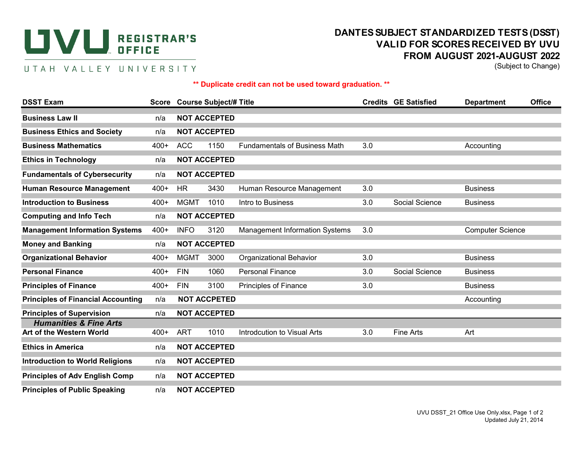## **DANTES SUBJECT STAN SEGISTRAR'S**<br> **DANTES SUBJECT STAN SUBJECT STAN SUBJECT STAN SUBJECT STAN SUBJECT STAN REGISTRAR'S OFFICE**

## UTAH VALLEY UNIVERSITY

## **DANTES SUBJECT STANDARDIZED TESTS (DSST) VALID FOR SCORES RECEIVED BY UVU FROM AUGUST 2021-AUGUST 2022**

(Subject to Change)

## **\*\* Duplicate credit can not be used toward graduation. \*\***

| <b>DSST Exam</b>                                              |        |                     | Score Course Subject/# Title |                                       |     | <b>Credits GE Satisfied</b> | <b>Department</b>       | <b>Office</b> |  |  |
|---------------------------------------------------------------|--------|---------------------|------------------------------|---------------------------------------|-----|-----------------------------|-------------------------|---------------|--|--|
| <b>Business Law II</b>                                        | n/a    |                     | <b>NOT ACCEPTED</b>          |                                       |     |                             |                         |               |  |  |
| <b>Business Ethics and Society</b>                            | n/a    |                     | <b>NOT ACCEPTED</b>          |                                       |     |                             |                         |               |  |  |
| <b>Business Mathematics</b>                                   | $400+$ | <b>ACC</b>          | 1150                         | <b>Fundamentals of Business Math</b>  | 3.0 |                             | Accounting              |               |  |  |
| <b>Ethics in Technology</b>                                   | n/a    |                     | <b>NOT ACCEPTED</b>          |                                       |     |                             |                         |               |  |  |
| <b>Fundamentals of Cybersecurity</b>                          | n/a    |                     | <b>NOT ACCEPTED</b>          |                                       |     |                             |                         |               |  |  |
| <b>Human Resource Management</b>                              | $400+$ | <b>HR</b>           | 3430                         | Human Resource Management             | 3.0 |                             | <b>Business</b>         |               |  |  |
| <b>Introduction to Business</b>                               | $400+$ | <b>MGMT</b>         | 1010                         | Intro to Business                     | 3.0 | Social Science              | <b>Business</b>         |               |  |  |
| <b>Computing and Info Tech</b>                                | n/a    | <b>NOT ACCEPTED</b> |                              |                                       |     |                             |                         |               |  |  |
| <b>Management Information Systems</b>                         | $400+$ | <b>INFO</b>         | 3120                         | <b>Management Information Systems</b> | 3.0 |                             | <b>Computer Science</b> |               |  |  |
| <b>Money and Banking</b>                                      | n/a    | <b>NOT ACCEPTED</b> |                              |                                       |     |                             |                         |               |  |  |
| <b>Organizational Behavior</b>                                | $400+$ | <b>MGMT</b>         | 3000                         | <b>Organizational Behavior</b>        | 3.0 |                             | <b>Business</b>         |               |  |  |
| <b>Personal Finance</b>                                       | $400+$ | <b>FIN</b>          | 1060                         | <b>Personal Finance</b>               | 3.0 | Social Science              | <b>Business</b>         |               |  |  |
| <b>Principles of Finance</b>                                  | $400+$ | <b>FIN</b>          | 3100                         | Principles of Finance                 | 3.0 |                             | <b>Business</b>         |               |  |  |
| <b>Principles of Financial Accounting</b>                     | n/a    |                     | <b>NOT ACCPETED</b>          |                                       |     | Accounting                  |                         |               |  |  |
| <b>Principles of Supervision</b>                              | n/a    |                     | <b>NOT ACCEPTED</b>          |                                       |     |                             |                         |               |  |  |
| <b>Humanities &amp; Fine Arts</b><br>Art of the Western World | 400+   | ART                 | 1010                         | Introdcution to Visual Arts           | 3.0 | <b>Fine Arts</b>            | Art                     |               |  |  |
| <b>Ethics in America</b>                                      | n/a    |                     | <b>NOT ACCEPTED</b>          |                                       |     |                             |                         |               |  |  |
| <b>Introduction to World Religions</b>                        | n/a    |                     | <b>NOT ACCEPTED</b>          |                                       |     |                             |                         |               |  |  |
| <b>Principles of Adv English Comp</b>                         | n/a    |                     | <b>NOT ACCEPTED</b>          |                                       |     |                             |                         |               |  |  |
| <b>Principles of Public Speaking</b>                          | n/a    |                     | <b>NOT ACCEPTED</b>          |                                       |     |                             |                         |               |  |  |